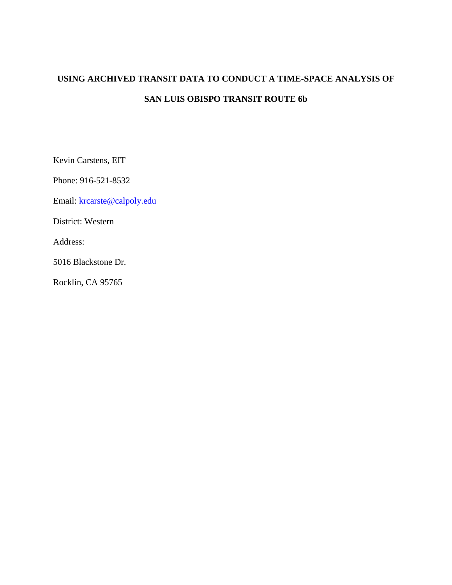# **USING ARCHIVED TRANSIT DATA TO CONDUCT A TIME-SPACE ANALYSIS OF SAN LUIS OBISPO TRANSIT ROUTE 6b**

Kevin Carstens, EIT

Phone: 916-521-8532

Email: [krcarste@calpoly.edu](mailto:krcarste@calpoly.edu)

District: Western

Address:

5016 Blackstone Dr.

Rocklin, CA 95765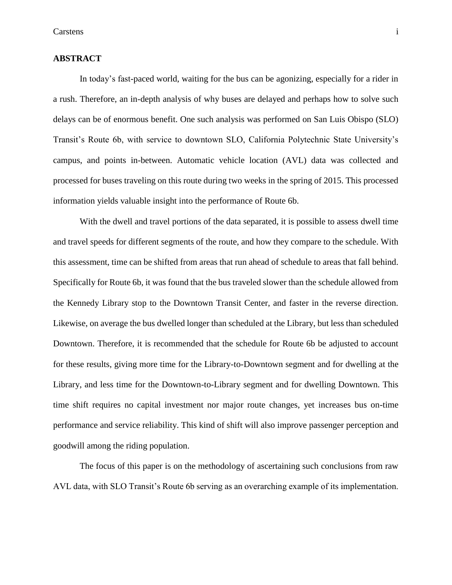#### **ABSTRACT**

In today's fast-paced world, waiting for the bus can be agonizing, especially for a rider in a rush. Therefore, an in-depth analysis of why buses are delayed and perhaps how to solve such delays can be of enormous benefit. One such analysis was performed on San Luis Obispo (SLO) Transit's Route 6b, with service to downtown SLO, California Polytechnic State University's campus, and points in-between. Automatic vehicle location (AVL) data was collected and processed for buses traveling on this route during two weeks in the spring of 2015. This processed information yields valuable insight into the performance of Route 6b.

With the dwell and travel portions of the data separated, it is possible to assess dwell time and travel speeds for different segments of the route, and how they compare to the schedule. With this assessment, time can be shifted from areas that run ahead of schedule to areas that fall behind. Specifically for Route 6b, it was found that the bus traveled slower than the schedule allowed from the Kennedy Library stop to the Downtown Transit Center, and faster in the reverse direction. Likewise, on average the bus dwelled longer than scheduled at the Library, but less than scheduled Downtown. Therefore, it is recommended that the schedule for Route 6b be adjusted to account for these results, giving more time for the Library-to-Downtown segment and for dwelling at the Library, and less time for the Downtown-to-Library segment and for dwelling Downtown. This time shift requires no capital investment nor major route changes, yet increases bus on-time performance and service reliability. This kind of shift will also improve passenger perception and goodwill among the riding population.

The focus of this paper is on the methodology of ascertaining such conclusions from raw AVL data, with SLO Transit's Route 6b serving as an overarching example of its implementation.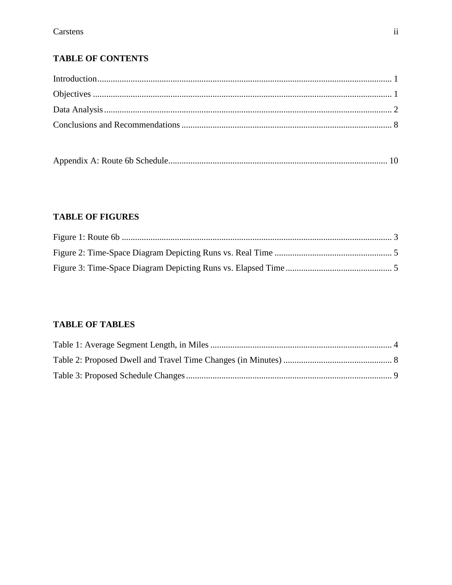## **TABLE OF CONTENTS**

|--|

## **TABLE OF FIGURES**

### **TABLE OF TABLES**

<span id="page-2-0"></span>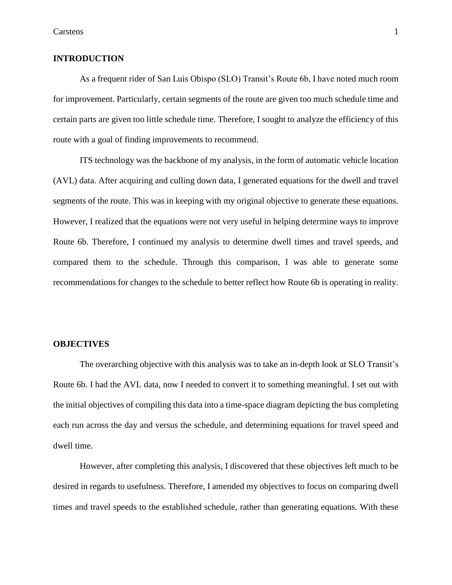#### **INTRODUCTION**

As a frequent rider of San Luis Obispo (SLO) Transit's Route 6b, I have noted much room for improvement. Particularly, certain segments of the route are given too much schedule time and certain parts are given too little schedule time. Therefore, I sought to analyze the efficiency of this route with a goal of finding improvements to recommend.

ITS technology was the backbone of my analysis, in the form of automatic vehicle location (AVL) data. After acquiring and culling down data, I generated equations for the dwell and travel segments of the route. This was in keeping with my original objective to generate these equations. However, I realized that the equations were not very useful in helping determine ways to improve Route 6b. Therefore, I continued my analysis to determine dwell times and travel speeds, and compared them to the schedule. Through this comparison, I was able to generate some recommendations for changes to the schedule to better reflect how Route 6b is operating in reality.

#### <span id="page-3-0"></span>**OBJECTIVES**

The overarching objective with this analysis was to take an in-depth look at SLO Transit's Route 6b. I had the AVL data, now I needed to convert it to something meaningful. I set out with the initial objectives of compiling this data into a time-space diagram depicting the bus completing each run across the day and versus the schedule, and determining equations for travel speed and dwell time.

However, after completing this analysis, I discovered that these objectives left much to be desired in regards to usefulness. Therefore, I amended my objectives to focus on comparing dwell times and travel speeds to the established schedule, rather than generating equations. With these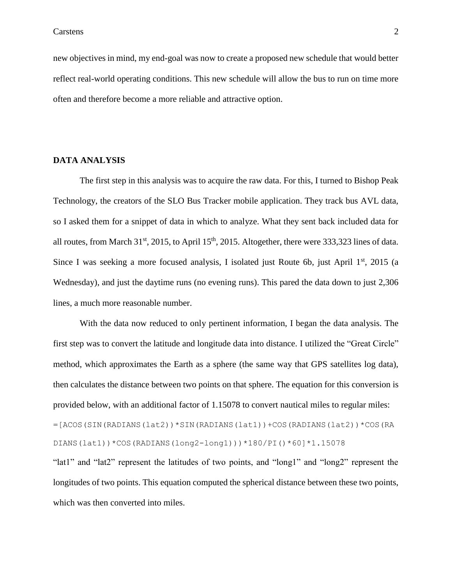new objectives in mind, my end-goal was now to create a proposed new schedule that would better reflect real-world operating conditions. This new schedule will allow the bus to run on time more often and therefore become a more reliable and attractive option.

#### <span id="page-4-0"></span>**DATA ANALYSIS**

The first step in this analysis was to acquire the raw data. For this, I turned to Bishop Peak Technology, the creators of the SLO Bus Tracker mobile application. They track bus AVL data, so I asked them for a snippet of data in which to analyze. What they sent back included data for all routes, from March 31<sup>st</sup>, 2015, to April 15<sup>th</sup>, 2015. Altogether, there were 333,323 lines of data. Since I was seeking a more focused analysis, I isolated just Route 6b, just April  $1<sup>st</sup>$ , 2015 (a Wednesday), and just the daytime runs (no evening runs). This pared the data down to just 2,306 lines, a much more reasonable number.

With the data now reduced to only pertinent information, I began the data analysis. The first step was to convert the latitude and longitude data into distance. I utilized the "Great Circle" method, which approximates the Earth as a sphere (the same way that GPS satellites log data), then calculates the distance between two points on that sphere. The equation for this conversion is provided below, with an additional factor of 1.15078 to convert nautical miles to regular miles: =[ACOS(SIN(RADIANS(lat2))\*SIN(RADIANS(lat1))+COS(RADIANS(lat2))\*COS(RA DIANS(lat1))\*COS(RADIANS(long2-long1)))\*180/PI()\*60]\*1.15078 "lat1" and "lat2" represent the latitudes of two points, and "long1" and "long2" represent the longitudes of two points. This equation computed the spherical distance between these two points, which was then converted into miles.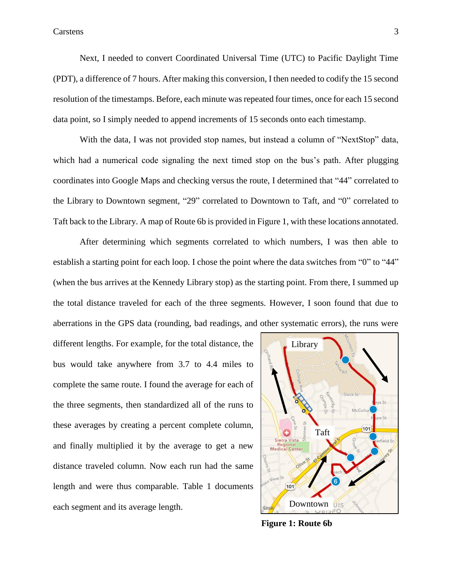Next, I needed to convert Coordinated Universal Time (UTC) to Pacific Daylight Time (PDT), a difference of 7 hours. After making this conversion, I then needed to codify the 15 second resolution of the timestamps. Before, each minute was repeated four times, once for each 15 second data point, so I simply needed to append increments of 15 seconds onto each timestamp.

With the data, I was not provided stop names, but instead a column of "NextStop" data, which had a numerical code signaling the next timed stop on the bus's path. After plugging coordinates into Google Maps and checking versus the route, I determined that "44" correlated to the Library to Downtown segment, "29" correlated to Downtown to Taft, and "0" correlated to Taft back to the Library. A map of Route 6b is provided in Figure 1, with these locations annotated.

After determining which segments correlated to which numbers, I was then able to establish a starting point for each loop. I chose the point where the data switches from "0" to "44" (when the bus arrives at the Kennedy Library stop) as the starting point. From there, I summed up the total distance traveled for each of the three segments. However, I soon found that due to aberrations in the GPS data (rounding, bad readings, and other systematic errors), the runs were

different lengths. For example, for the total distance, the bus would take anywhere from 3.7 to 4.4 miles to complete the same route. I found the average for each of the three segments, then standardized all of the runs to these averages by creating a percent complete column, and finally multiplied it by the average to get a new distance traveled column. Now each run had the same length and were thus comparable. Table 1 documents each segment and its average length.



**Figure 1: Route 6b**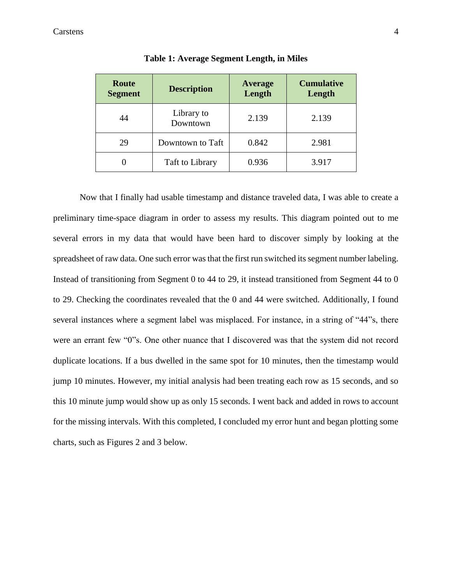#### Carstens 4

| Route<br><b>Segment</b> | <b>Description</b>     | <b>Cumulative</b><br>Length |       |
|-------------------------|------------------------|-----------------------------|-------|
| 44                      | Library to<br>Downtown | 2.139                       | 2.139 |
| 29                      | Downtown to Taft       | 0.842                       | 2.981 |
|                         | Taft to Library        | 0.936                       | 3.917 |

|  | Table 1: Average Segment Length, in Miles |  |  |
|--|-------------------------------------------|--|--|
|  |                                           |  |  |

Now that I finally had usable timestamp and distance traveled data, I was able to create a preliminary time-space diagram in order to assess my results. This diagram pointed out to me several errors in my data that would have been hard to discover simply by looking at the spreadsheet of raw data. One such error was that the first run switched its segment number labeling. Instead of transitioning from Segment 0 to 44 to 29, it instead transitioned from Segment 44 to 0 to 29. Checking the coordinates revealed that the 0 and 44 were switched. Additionally, I found several instances where a segment label was misplaced. For instance, in a string of "44"s, there were an errant few "0"s. One other nuance that I discovered was that the system did not record duplicate locations. If a bus dwelled in the same spot for 10 minutes, then the timestamp would jump 10 minutes. However, my initial analysis had been treating each row as 15 seconds, and so this 10 minute jump would show up as only 15 seconds. I went back and added in rows to account for the missing intervals. With this completed, I concluded my error hunt and began plotting some charts, such as Figures 2 and 3 below.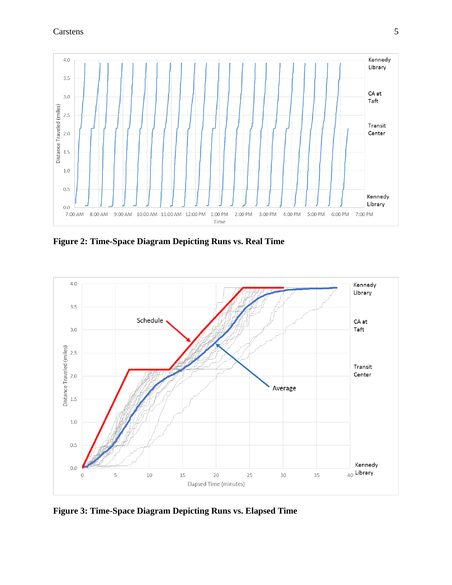

**Figure 2: Time-Space Diagram Depicting Runs vs. Real Time**



**Figure 3: Time-Space Diagram Depicting Runs vs. Elapsed Time**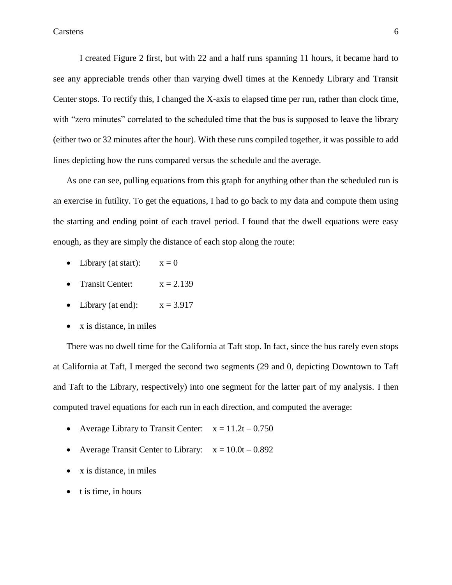I created Figure 2 first, but with 22 and a half runs spanning 11 hours, it became hard to see any appreciable trends other than varying dwell times at the Kennedy Library and Transit Center stops. To rectify this, I changed the X-axis to elapsed time per run, rather than clock time, with "zero minutes" correlated to the scheduled time that the bus is supposed to leave the library (either two or 32 minutes after the hour). With these runs compiled together, it was possible to add lines depicting how the runs compared versus the schedule and the average.

As one can see, pulling equations from this graph for anything other than the scheduled run is an exercise in futility. To get the equations, I had to go back to my data and compute them using the starting and ending point of each travel period. I found that the dwell equations were easy enough, as they are simply the distance of each stop along the route:

- Library (at start):  $x = 0$
- Transit Center:  $x = 2.139$
- Library (at end):  $x = 3.917$
- $\bullet$  x is distance, in miles

There was no dwell time for the California at Taft stop. In fact, since the bus rarely even stops at California at Taft, I merged the second two segments (29 and 0, depicting Downtown to Taft and Taft to the Library, respectively) into one segment for the latter part of my analysis. I then computed travel equations for each run in each direction, and computed the average:

- Average Library to Transit Center:  $x = 11.2t 0.750$
- Average Transit Center to Library:  $x = 10.0t 0.892$
- x is distance, in miles
- $\bullet$  t is time, in hours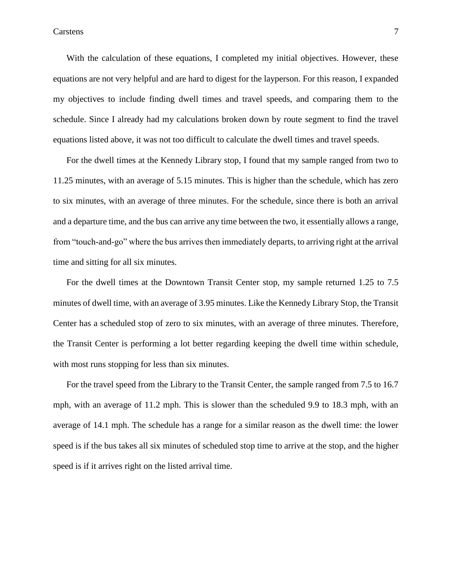Carstens 7

With the calculation of these equations, I completed my initial objectives. However, these equations are not very helpful and are hard to digest for the layperson. For this reason, I expanded my objectives to include finding dwell times and travel speeds, and comparing them to the schedule. Since I already had my calculations broken down by route segment to find the travel equations listed above, it was not too difficult to calculate the dwell times and travel speeds.

For the dwell times at the Kennedy Library stop, I found that my sample ranged from two to 11.25 minutes, with an average of 5.15 minutes. This is higher than the schedule, which has zero to six minutes, with an average of three minutes. For the schedule, since there is both an arrival and a departure time, and the bus can arrive any time between the two, it essentially allows a range, from "touch-and-go" where the bus arrives then immediately departs, to arriving right at the arrival time and sitting for all six minutes.

For the dwell times at the Downtown Transit Center stop, my sample returned 1.25 to 7.5 minutes of dwell time, with an average of 3.95 minutes. Like the Kennedy Library Stop, the Transit Center has a scheduled stop of zero to six minutes, with an average of three minutes. Therefore, the Transit Center is performing a lot better regarding keeping the dwell time within schedule, with most runs stopping for less than six minutes.

For the travel speed from the Library to the Transit Center, the sample ranged from 7.5 to 16.7 mph, with an average of 11.2 mph. This is slower than the scheduled 9.9 to 18.3 mph, with an average of 14.1 mph. The schedule has a range for a similar reason as the dwell time: the lower speed is if the bus takes all six minutes of scheduled stop time to arrive at the stop, and the higher speed is if it arrives right on the listed arrival time.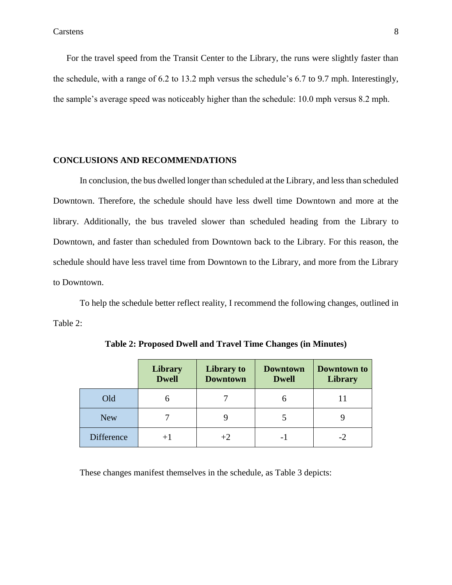Carstens 8

For the travel speed from the Transit Center to the Library, the runs were slightly faster than the schedule, with a range of 6.2 to 13.2 mph versus the schedule's 6.7 to 9.7 mph. Interestingly, the sample's average speed was noticeably higher than the schedule: 10.0 mph versus 8.2 mph.

#### <span id="page-10-0"></span>**CONCLUSIONS AND RECOMMENDATIONS**

In conclusion, the bus dwelled longer than scheduled at the Library, and less than scheduled Downtown. Therefore, the schedule should have less dwell time Downtown and more at the library. Additionally, the bus traveled slower than scheduled heading from the Library to Downtown, and faster than scheduled from Downtown back to the Library. For this reason, the schedule should have less travel time from Downtown to the Library, and more from the Library to Downtown.

To help the schedule better reflect reality, I recommend the following changes, outlined in Table 2:

|            | Library<br><b>Dwell</b> | Library to<br><b>Downtown</b> | <b>Downtown</b><br><b>Dwell</b> | Downtown to<br><b>Library</b> |
|------------|-------------------------|-------------------------------|---------------------------------|-------------------------------|
| Old        | h                       |                               | n                               |                               |
| <b>New</b> |                         |                               |                                 |                               |
| Difference | $+1$                    |                               |                                 |                               |

**Table 2: Proposed Dwell and Travel Time Changes (in Minutes)**

These changes manifest themselves in the schedule, as Table 3 depicts: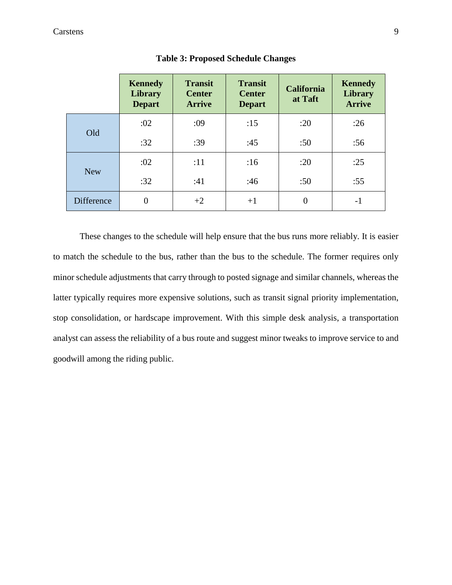|                   | <b>Kennedy</b><br>Library<br><b>Depart</b> | <b>Transit</b><br><b>Center</b><br><b>Arrive</b> | <b>Transit</b><br><b>Center</b><br><b>Depart</b> | <b>California</b><br>at Taft | <b>Kennedy</b><br>Library<br><b>Arrive</b> |
|-------------------|--------------------------------------------|--------------------------------------------------|--------------------------------------------------|------------------------------|--------------------------------------------|
|                   | :02                                        | :09                                              | :15                                              | :20                          | :26                                        |
| Old               | :32                                        | :39                                              | :45                                              | :50                          | :56                                        |
|                   | :02                                        | :11                                              | :16                                              | :20                          | :25                                        |
| <b>New</b>        | :32                                        | :41                                              | :46                                              | :50                          | :55                                        |
| <b>Difference</b> | $\theta$                                   | $+2$                                             | $+1$                                             | 0                            | -1                                         |

**Table 3: Proposed Schedule Changes**

These changes to the schedule will help ensure that the bus runs more reliably. It is easier to match the schedule to the bus, rather than the bus to the schedule. The former requires only minor schedule adjustments that carry through to posted signage and similar channels, whereas the latter typically requires more expensive solutions, such as transit signal priority implementation, stop consolidation, or hardscape improvement. With this simple desk analysis, a transportation analyst can assess the reliability of a bus route and suggest minor tweaks to improve service to and goodwill among the riding public.